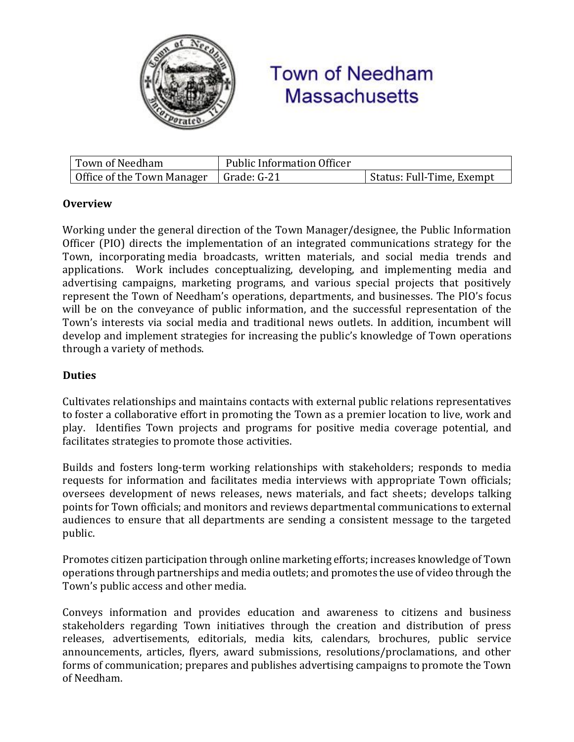

# **Town of Needham Massachusetts**

| Town of Needham                          | <b>Public Information Officer</b> |                           |
|------------------------------------------|-----------------------------------|---------------------------|
| Office of the Town Manager   Grade: G-21 |                                   | Status: Full-Time, Exempt |

## **Overview**

Working under the general direction of the Town Manager/designee, the Public Information Officer (PIO) directs the implementation of an integrated communications strategy for the Town, incorporating media broadcasts, written materials, and social media trends and applications. Work includes conceptualizing, developing, and implementing media and advertising campaigns, marketing programs, and various special projects that positively represent the Town of Needham's operations, departments, and businesses. The PIO's focus will be on the conveyance of public information, and the successful representation of the Town's interests via social media and traditional news outlets. In addition, incumbent will develop and implement strategies for increasing the public's knowledge of Town operations through a variety of methods.

### **Duties**

Cultivates relationships and maintains contacts with external public relations representatives to foster a collaborative effort in promoting the Town as a premier location to live, work and play. Identifies Town projects and programs for positive media coverage potential, and facilitates strategies to promote those activities.

Builds and fosters long-term working relationships with stakeholders; responds to media requests for information and facilitates media interviews with appropriate Town officials; oversees development of news releases, news materials, and fact sheets; develops talking points for Town officials; and monitors and reviews departmental communications to external audiences to ensure that all departments are sending a consistent message to the targeted public.

Promotes citizen participation through online marketing efforts; increases knowledge of Town operations through partnerships and media outlets; and promotes the use of video through the Town's public access and other media.

Conveys information and provides education and awareness to citizens and business stakeholders regarding Town initiatives through the creation and distribution of press releases, advertisements, editorials, media kits, calendars, brochures, public service announcements, articles, flyers, award submissions, resolutions/proclamations, and other forms of communication; prepares and publishes advertising campaigns to promote the Town of Needham.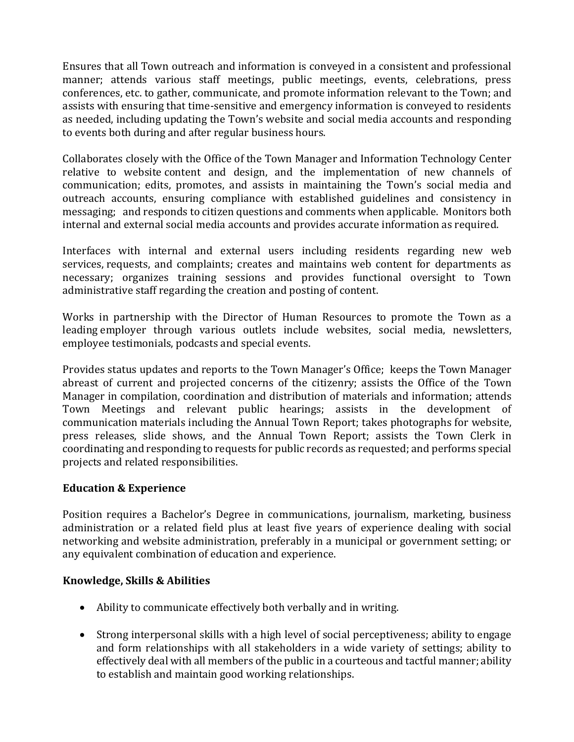Ensures that all Town outreach and information is conveyed in a consistent and professional manner; attends various staff meetings, public meetings, events, celebrations, press conferences, etc. to gather, communicate, and promote information relevant to the Town; and assists with ensuring that time-sensitive and emergency information is conveyed to residents as needed, including updating the Town's website and social media accounts and responding to events both during and after regular business hours.

Collaborates closely with the Office of the Town Manager and Information Technology Center relative to website content and design, and the implementation of new channels of communication; edits, promotes, and assists in maintaining the Town's social media and outreach accounts, ensuring compliance with established guidelines and consistency in messaging; and responds to citizen questions and comments when applicable. Monitors both internal and external social media accounts and provides accurate information as required.

Interfaces with internal and external users including residents regarding new web services, requests, and complaints; creates and maintains web content for departments as necessary; organizes training sessions and provides functional oversight to Town administrative staff regarding the creation and posting of content.

Works in partnership with the Director of Human Resources to promote the Town as a leading employer through various outlets include websites, social media, newsletters, employee testimonials, podcasts and special events.

Provides status updates and reports to the Town Manager's Office; keeps the Town Manager abreast of current and projected concerns of the citizenry; assists the Office of the Town Manager in compilation, coordination and distribution of materials and information; attends Town Meetings and relevant public hearings; assists in the development of communication materials including the Annual Town Report; takes photographs for website, press releases, slide shows, and the Annual Town Report; assists the Town Clerk in coordinating and responding to requests for public records as requested; and performs special projects and related responsibilities.

#### **Education & Experience**

Position requires a Bachelor's Degree in communications, journalism, marketing, business administration or a related field plus at least five years of experience dealing with social networking and website administration, preferably in a municipal or government setting; or any equivalent combination of education and experience.

#### **Knowledge, Skills & Abilities**

- Ability to communicate effectively both verbally and in writing.
- Strong interpersonal skills with a high level of social perceptiveness; ability to engage and form relationships with all stakeholders in a wide variety of settings; ability to effectively deal with all members of the public in a courteous and tactful manner; ability to establish and maintain good working relationships.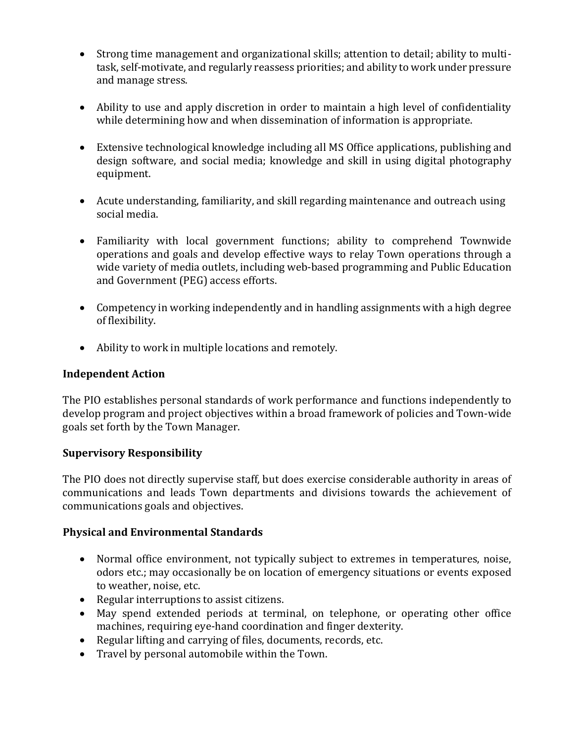- Strong time management and organizational skills; attention to detail; ability to multitask, self-motivate, and regularly reassess priorities; and ability to work under pressure and manage stress.
- Ability to use and apply discretion in order to maintain a high level of confidentiality while determining how and when dissemination of information is appropriate.
- Extensive technological knowledge including all MS Office applications, publishing and design software, and social media; knowledge and skill in using digital photography equipment.
- Acute understanding, familiarity, and skill regarding maintenance and outreach using social media.
- Familiarity with local government functions; ability to comprehend Townwide operations and goals and develop effective ways to relay Town operations through a wide variety of media outlets, including web-based programming and Public Education and Government (PEG) access efforts.
- Competency in working independently and in handling assignments with a high degree of flexibility.
- Ability to work in multiple locations and remotely.

#### **Independent Action**

The PIO establishes personal standards of work performance and functions independently to develop program and project objectives within a broad framework of policies and Town-wide goals set forth by the Town Manager.

#### **Supervisory Responsibility**

The PIO does not directly supervise staff, but does exercise considerable authority in areas of communications and leads Town departments and divisions towards the achievement of communications goals and objectives.

#### **Physical and Environmental Standards**

- Normal office environment, not typically subject to extremes in temperatures, noise, odors etc.; may occasionally be on location of emergency situations or events exposed to weather, noise, etc.
- Regular interruptions to assist citizens.
- May spend extended periods at terminal, on telephone, or operating other office machines, requiring eye-hand coordination and finger dexterity.
- Regular lifting and carrying of files, documents, records, etc.
- Travel by personal automobile within the Town.